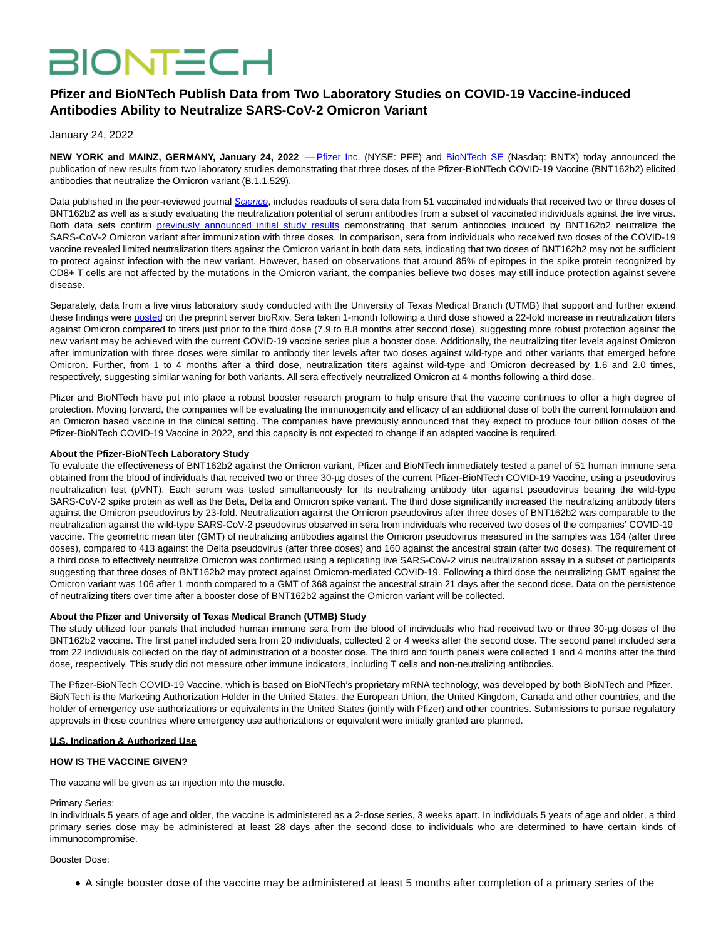# **BIONTECH**

# **Pfizer and BioNTech Publish Data from Two Laboratory Studies on COVID-19 Vaccine-induced Antibodies Ability to Neutralize SARS-CoV-2 Omicron Variant**

January 24, 2022

**NEW YORK and MAINZ, GERMANY, January 24, 2022** [— Pfizer Inc.](https://www.globenewswire.com/Tracker?data=Net7iL_iPPSbPydtsCh6gVZUxAZab6i-L0tvZ-mW1gM2uaG4N9NpsUplNSreN__ABZxI6X9Y-PH93UPqETt7Yg==) (NYSE: PFE) and [BioNTech SE](https://www.globenewswire.com/Tracker?data=XkXWczA4oqrItyQGIjGCOupdV9MQlzhoe6x4otYm6MvsA3oVUIBpY-zRov4Y1EmPKTRdHo-fgE6vVM-SHW06Ew==) (Nasdaq: BNTX) today announced the publication of new results from two laboratory studies demonstrating that three doses of the Pfizer-BioNTech COVID-19 Vaccine (BNT162b2) elicited antibodies that neutralize the Omicron variant (B.1.1.529).

Data published in the peer-reviewed journal [Science](https://www.globenewswire.com/Tracker?data=8g8MXJo0IbD-awoJKe9CP0k39RgvMBCS3I9OWqX_qDB7bBMCuUpyAGvhRkoZQ7FDRKN9ikQ2b5_qVHxwCLZKBfd1z6tBu0U08Dfx2EZvZ3ZJ5xCJ1M90EO-IAJyemPq_iJzuRLbpLLdfI1hRm1umfA==), includes readouts of sera data from 51 vaccinated individuals that received two or three doses of BNT162b2 as well as a study evaluating the neutralization potential of serum antibodies from a subset of vaccinated individuals against the live virus. Both data sets confirm [previously announced initial study results](https://www.globenewswire.com/Tracker?data=V6yxoeGepnO8Q6yvkOoiQavWmUff8xD-WiV9dwt4ot011GAMtuUa5aVzvFM4ZYHoMvVtxeqBj4TQmw_gKkIos_EphdlOaOQkLEVNWz0XIBHsa13zYRsjgpk1N1vrW3c5snvSzMYvHvsdndhLC_Opj9OXDkC9Xd-ZtMFBBQu1Gfc2cRFsRx5sqyX_hHSiuRBEQ4HfmZzn1dExXlePc_PJNnfRSci2WE33hUkSwPQhA8DO96NBlP3bdjVEbIk3ZHXd) demonstrating that serum antibodies induced by BNT162b2 neutralize the SARS-CoV-2 Omicron variant after immunization with three doses. In comparison, sera from individuals who received two doses of the COVID-19 vaccine revealed limited neutralization titers against the Omicron variant in both data sets, indicating that two doses of BNT162b2 may not be sufficient to protect against infection with the new variant. However, based on observations that around 85% of epitopes in the spike protein recognized by CD8+ T cells are not affected by the mutations in the Omicron variant, the companies believe two doses may still induce protection against severe disease.

Separately, data from a live virus laboratory study conducted with the University of Texas Medical Branch (UTMB) that support and further extend these findings wer[e posted o](https://www.globenewswire.com/Tracker?data=m1RzTq6rJleqHhfkEmyDiIzeS269-CGaKVXwDDCfGqRriSyNw9zfXeWLxHncpmuMGx5iHcgCdsSSbUOpGaWluE1WOQLetLpgXtWjeNVWzQGM0YWpn0RICuNGtwD9OhEM)n the preprint server bioRxiv. Sera taken 1-month following a third dose showed a 22-fold increase in neutralization titers against Omicron compared to titers just prior to the third dose (7.9 to 8.8 months after second dose), suggesting more robust protection against the new variant may be achieved with the current COVID-19 vaccine series plus a booster dose. Additionally, the neutralizing titer levels against Omicron after immunization with three doses were similar to antibody titer levels after two doses against wild-type and other variants that emerged before Omicron. Further, from 1 to 4 months after a third dose, neutralization titers against wild-type and Omicron decreased by 1.6 and 2.0 times, respectively, suggesting similar waning for both variants. All sera effectively neutralized Omicron at 4 months following a third dose.

Pfizer and BioNTech have put into place a robust booster research program to help ensure that the vaccine continues to offer a high degree of protection. Moving forward, the companies will be evaluating the immunogenicity and efficacy of an additional dose of both the current formulation and an Omicron based vaccine in the clinical setting. The companies have previously announced that they expect to produce four billion doses of the Pfizer-BioNTech COVID-19 Vaccine in 2022, and this capacity is not expected to change if an adapted vaccine is required.

#### **About the Pfizer-BioNTech Laboratory Study**

To evaluate the effectiveness of BNT162b2 against the Omicron variant, Pfizer and BioNTech immediately tested a panel of 51 human immune sera obtained from the blood of individuals that received two or three 30-µg doses of the current Pfizer-BioNTech COVID-19 Vaccine, using a pseudovirus neutralization test (pVNT). Each serum was tested simultaneously for its neutralizing antibody titer against pseudovirus bearing the wild-type SARS-CoV-2 spike protein as well as the Beta, Delta and Omicron spike variant. The third dose significantly increased the neutralizing antibody titers against the Omicron pseudovirus by 23-fold. Neutralization against the Omicron pseudovirus after three doses of BNT162b2 was comparable to the neutralization against the wild-type SARS-CoV-2 pseudovirus observed in sera from individuals who received two doses of the companies' COVID-19 vaccine. The geometric mean titer (GMT) of neutralizing antibodies against the Omicron pseudovirus measured in the samples was 164 (after three doses), compared to 413 against the Delta pseudovirus (after three doses) and 160 against the ancestral strain (after two doses). The requirement of a third dose to effectively neutralize Omicron was confirmed using a replicating live SARS-CoV-2 virus neutralization assay in a subset of participants suggesting that three doses of BNT162b2 may protect against Omicron-mediated COVID-19. Following a third dose the neutralizing GMT against the Omicron variant was 106 after 1 month compared to a GMT of 368 against the ancestral strain 21 days after the second dose. Data on the persistence of neutralizing titers over time after a booster dose of BNT162b2 against the Omicron variant will be collected.

#### **About the Pfizer and University of Texas Medical Branch (UTMB) Study**

The study utilized four panels that included human immune sera from the blood of individuals who had received two or three 30-µg doses of the BNT162b2 vaccine. The first panel included sera from 20 individuals, collected 2 or 4 weeks after the second dose. The second panel included sera from 22 individuals collected on the day of administration of a booster dose. The third and fourth panels were collected 1 and 4 months after the third dose, respectively. This study did not measure other immune indicators, including T cells and non-neutralizing antibodies.

The Pfizer-BioNTech COVID-19 Vaccine, which is based on BioNTech's proprietary mRNA technology, was developed by both BioNTech and Pfizer. BioNTech is the Marketing Authorization Holder in the United States, the European Union, the United Kingdom, Canada and other countries, and the holder of emergency use authorizations or equivalents in the United States (jointly with Pfizer) and other countries. Submissions to pursue regulatory approvals in those countries where emergency use authorizations or equivalent were initially granted are planned.

#### **U.S. Indication & Authorized Use**

## **HOW IS THE VACCINE GIVEN?**

The vaccine will be given as an injection into the muscle.

#### Primary Series:

In individuals 5 years of age and older, the vaccine is administered as a 2-dose series, 3 weeks apart. In individuals 5 years of age and older, a third primary series dose may be administered at least 28 days after the second dose to individuals who are determined to have certain kinds of immunocompromise.

Booster Dose:

A single booster dose of the vaccine may be administered at least 5 months after completion of a primary series of the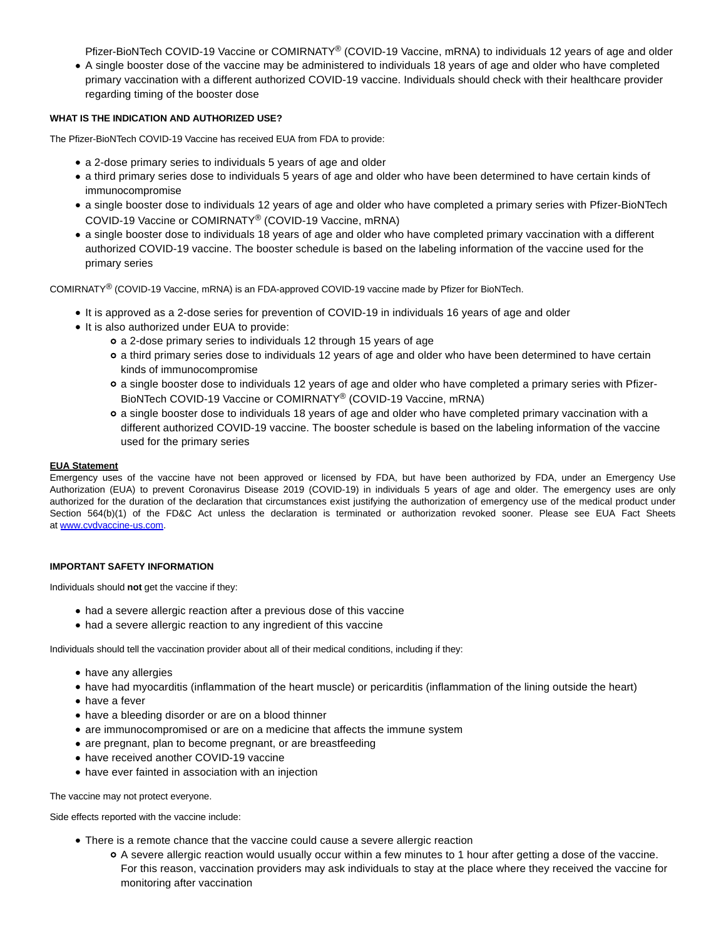Pfizer-BioNTech COVID-19 Vaccine or COMIRNATY® (COVID-19 Vaccine, mRNA) to individuals 12 years of age and older

A single booster dose of the vaccine may be administered to individuals 18 years of age and older who have completed primary vaccination with a different authorized COVID-19 vaccine. Individuals should check with their healthcare provider regarding timing of the booster dose

# **WHAT IS THE INDICATION AND AUTHORIZED USE?**

The Pfizer-BioNTech COVID-19 Vaccine has received EUA from FDA to provide:

- a 2-dose primary series to individuals 5 years of age and older
- a third primary series dose to individuals 5 years of age and older who have been determined to have certain kinds of immunocompromise
- a single booster dose to individuals 12 years of age and older who have completed a primary series with Pfizer-BioNTech COVID-19 Vaccine or COMIRNATY® (COVID-19 Vaccine, mRNA)
- a single booster dose to individuals 18 years of age and older who have completed primary vaccination with a different authorized COVID-19 vaccine. The booster schedule is based on the labeling information of the vaccine used for the primary series

COMIRNATY® (COVID-19 Vaccine, mRNA) is an FDA-approved COVID-19 vaccine made by Pfizer for BioNTech.

- It is approved as a 2-dose series for prevention of COVID-19 in individuals 16 years of age and older
- $\bullet$  It is also authorized under EUA to provide:
	- a 2-dose primary series to individuals 12 through 15 years of age
	- a third primary series dose to individuals 12 years of age and older who have been determined to have certain kinds of immunocompromise
	- a single booster dose to individuals 12 years of age and older who have completed a primary series with Pfizer-BioNTech COVID-19 Vaccine or COMIRNATY® (COVID-19 Vaccine, mRNA)
	- a single booster dose to individuals 18 years of age and older who have completed primary vaccination with a different authorized COVID-19 vaccine. The booster schedule is based on the labeling information of the vaccine used for the primary series

## **EUA Statement**

Emergency uses of the vaccine have not been approved or licensed by FDA, but have been authorized by FDA, under an Emergency Use Authorization (EUA) to prevent Coronavirus Disease 2019 (COVID-19) in individuals 5 years of age and older. The emergency uses are only authorized for the duration of the declaration that circumstances exist justifying the authorization of emergency use of the medical product under Section 564(b)(1) of the FD&C Act unless the declaration is terminated or authorization revoked sooner. Please see EUA Fact Sheets at [www.cvdvaccine-us.com.](https://www.globenewswire.com/Tracker?data=Rn4wE6mxikZLh5wN5wh5l9LaFMiQVVIhaUt3NEmdVW9Fz6ZGwst-jffW1BX8XQvoDtwQ0XPzPIf4pOzJk-D7az-GcmVz9JgoLWJj1Wkh4m4=)

#### **IMPORTANT SAFETY INFORMATION**

Individuals should **not** get the vaccine if they:

- had a severe allergic reaction after a previous dose of this vaccine
- had a severe allergic reaction to any ingredient of this vaccine

Individuals should tell the vaccination provider about all of their medical conditions, including if they:

- have any allergies
- have had myocarditis (inflammation of the heart muscle) or pericarditis (inflammation of the lining outside the heart)
- have a fever
- have a bleeding disorder or are on a blood thinner
- are immunocompromised or are on a medicine that affects the immune system
- are pregnant, plan to become pregnant, or are breastfeeding
- have received another COVID-19 vaccine
- have ever fainted in association with an injection

The vaccine may not protect everyone.

Side effects reported with the vaccine include:

- There is a remote chance that the vaccine could cause a severe allergic reaction
	- A severe allergic reaction would usually occur within a few minutes to 1 hour after getting a dose of the vaccine. For this reason, vaccination providers may ask individuals to stay at the place where they received the vaccine for monitoring after vaccination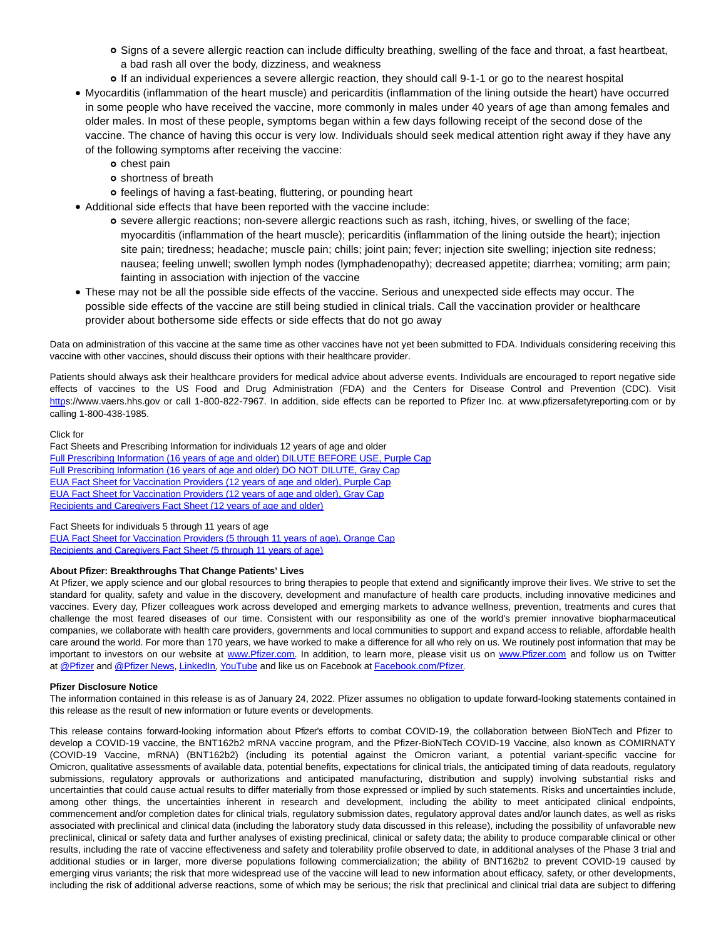- o Signs of a severe allergic reaction can include difficulty breathing, swelling of the face and throat, a fast heartbeat, a bad rash all over the body, dizziness, and weakness
- If an individual experiences a severe allergic reaction, they should call 9-1-1 or go to the nearest hospital
- Myocarditis (inflammation of the heart muscle) and pericarditis (inflammation of the lining outside the heart) have occurred in some people who have received the vaccine, more commonly in males under 40 years of age than among females and older males. In most of these people, symptoms began within a few days following receipt of the second dose of the vaccine. The chance of having this occur is very low. Individuals should seek medical attention right away if they have any of the following symptoms after receiving the vaccine:
	- o chest pain
	- **o** shortness of breath
	- **o** feelings of having a fast-beating, fluttering, or pounding heart
- Additional side effects that have been reported with the vaccine include:
	- severe allergic reactions; non-severe allergic reactions such as rash, itching, hives, or swelling of the face; myocarditis (inflammation of the heart muscle); pericarditis (inflammation of the lining outside the heart); injection site pain; tiredness; headache; muscle pain; chills; joint pain; fever; injection site swelling; injection site redness; nausea; feeling unwell; swollen lymph nodes (lymphadenopathy); decreased appetite; diarrhea; vomiting; arm pain; fainting in association with injection of the vaccine
- These may not be all the possible side effects of the vaccine. Serious and unexpected side effects may occur. The possible side effects of the vaccine are still being studied in clinical trials. Call the vaccination provider or healthcare provider about bothersome side effects or side effects that do not go away

Data on administration of this vaccine at the same time as other vaccines have not yet been submitted to FDA. Individuals considering receiving this vaccine with other vaccines, should discuss their options with their healthcare provider.

Patients should always ask their healthcare providers for medical advice about adverse events. Individuals are encouraged to report negative side effects of vaccines to the US Food and Drug Administration (FDA) and the Centers for Disease Control and Prevention (CDC). Visit [https](https://www.globenewswire.com/Tracker?data=vcEw9Hq2jO3gs3cCfn3-jCTvYh62HV2SjO-sJT3KJxAxNjGb9n2JrBGicgQQQswlTwEDJwz6fiRF0wKorjR1TA==)://www.vaers.hhs.gov or call 1-800-822-7967. In addition, side effects can be reported to Pfizer Inc. at www.pfizersafetyreporting.com or by calling 1-800-438-1985.

Click for

Fact Sheets and Prescribing Information for individuals 12 years of age and older [Full Prescribing Information \(16 years of age and older\) DILUTE BEFORE USE, Purple Cap](https://www.globenewswire.com/Tracker?data=S9olqGj_ewv0oRQZUb8aVRc9Q1Rt9atlgWg5VFgRvNKwl_dDeL42xYtTpSxol2nT8kg1okzMVXMaKQSRiwaeZIdmdI4kND509YENNrWiO0a5LZVUM4FV1Mzp1P5eMnLkFx7J_llaRpKCD6fdj3EstjV8g7pmSStq5Vs_C9Gn1fKZuRgf8dGZPIUkHkn8AZ-DkRNAbfV9WLVQnQHMYEGBChFCYOy_SwlpIbHIjCXwzElbrIfsSAVLgbywLgKJo2P1FlZngUW6OU22-1YQ9UyiuuDuXiFeBQyEQB3kjzuip7OMo-cx9KwbIHZF5MryogzdaVJ4P7CMk-EAkZ6SncmiJIn3VwvcWA9wB-hcKeE1iMDgbaO5FRf_UhuAnP6IVHf9Cp79bfLFX2ImtYbP9E6uyWkNG_I5DACzxFprlMzCdeP7B8FY32F37K-TJBAkOF_FiscilR4KiE_Yxcc0OB1ycN-UFQFnlRo8IBd_tKpty6lmuSKbKQ5nV_PL1d4bWvkfh1XfcqraLOnFa2Mi11H51POTNqZ6Ff80pGGR2n5RmexdPMZSwvldfOxWiNcnjChwDzsZFYufCMdaQ56lBdpZPg==) [Full Prescribing Information \(16 years of age and older\) DO NOT DILUTE, Gray Cap](https://www.globenewswire.com/Tracker?data=S9olqGj_ewv0oRQZUb8aVRc9Q1Rt9atlgWg5VFgRvNKwl_dDeL42xYtTpSxol2nT8kg1okzMVXMaKQSRiwaeZAbfSlnQf7T1a5bHRZfHw0FwUl-ocAJolO5fkVNn87upAagK1YVfPqhpucLUpL-CavZ1O0XBV2vVZ_HMrWKdPjS3Uv3BDs-vrnaZ5gsT9T2ci0-Ktid27l31EcBz4nNReKSbi9MD3USV8puM7sswQJ8EEPWFMlxHQAydGKlYYTA4Eq6Zt4sIIVL0k1so5VVl8oA0_x8B5rSEAL3q3xqT0ifXciKR6Su1iZ-H0yftCD0XlkTUhmFWImzqfU38GWRjtfdmyLrJQ197XI_xEwv76gp7cEUhwBCncOCvD2H44dNwLGKvkg98bCQPwVsNI_wicDhT8MVayFXUJ0tjibGe95ZpkSXXPEsulvjTaKy7VqSMckc-3z2XoM8IUXs3a1YAqziP1ELfxyjKpdW3-D3FF0hSLqZJOqpPewtXIS5czV3KAluJAU3XhBNnNp6anYzJsmkNgt5brDzYzBmTKUAcp-c_0M72LUsQdsWlq3qwWlUK) [EUA Fact Sheet for Vaccination Providers \(12 years of age and older\), Purple Cap](https://www.globenewswire.com/Tracker?data=B1nTN7FwQ6CCA8eQNQMWU1KJ7AcDzzE_AU7--grqNqZERxbai4H_m5RmCGqELs0lms45v3Hwe4pE0XFvWso71COGuMRdDVZnN0Wo7-YCL-caKvnp8pmeGrCrgXTFMDkohFulB-6ZTA_crdrKnql457h4uJhnY0iVpgimw1Y46aCMykmmtvGSxL_NyS4z6ssGgPWfL602yt1gBgjJfrzJJSbXys8uevaD2-RKOzS8QqSrFow79IuopUp7oL0qcYs4PATNxi__uMIfSY6Hu6MbmvEa7MlnKk4HaD_BnO1G1kyGflmhKWytP_o2i1XN94aV2AZcbaUymLOitWqJbEadk4UMHQOFaVDX9Qod4KodUNyb1SgL1EuQ5_5em7qGyjODcCcSpiVYSjpD2Ze05DnliMUBWDDKTMt-mW6x8DoFd3Cyg8E_yTK_jbabSB6BwNYBmEi__r5cCjQMA4uTly8NLjA2KJvcJ7-6TjuSmeySP5nq7hxOTEYcvpPo15M4q7v5kabhDcs31GUd2NZjVtZG32b477RTKXGq6bmxVkSsazRNCdHx960etmj7CX8as6A7) [EUA Fact Sheet for Vaccination Providers \(12 years of age and older\), Gray Cap](https://www.globenewswire.com/Tracker?data=B1nTN7FwQ6CCA8eQNQMWU1KJ7AcDzzE_AU7--grqNqZERxbai4H_m5RmCGqELs0lms45v3Hwe4pE0XFvWso71COGuMRdDVZnN0Wo7-YCL-fnInjpwUA2wAkr4IJUT4fgloHiFs8jlsnZjz24Jb8iOcrtvORjffBFh5T74cgYn5Gh9XY2vMAxU82WtxwilP_XNPXAh5abBhgJY0HFB0BuBW4N2Dlzpg-sKe5SXFon8el8f1KjbOFLSmrWmqzJRHCLUKUZoqmvK2FLBxX0P9jrsHtbiZyxbVInw0tdzXAAheJf32sE54AmrQUsjqdSK4J6LFn5-bWqbTm9YbeeTtZ4a2whW8FZWuNECkukacV9PLZruu1t_-GolH8DN5Uir8LsvFccsOLX0_l6bVRiwkKEh2FcnBosKsQjZcpt_j3JFMq_CMaIFqOJ-zPLXlRah-ds_aQGmbHU-FcwJzN13IG7w9uU4eugxd2vrLvdeQf231QtrWlxa8evyabBKzBmJKQCCnbFiUBfeIoV88CftO9lvIEM3XfTo08z-iH0qH42DfN4VFg44lAesCd6l9d5V_1A) [Recipients and Caregivers Fact Sheet \(12 years of age and older\)](https://www.globenewswire.com/Tracker?data=hWaVIw2iBqnM7kpUAQHiEgRd5-XHTznfbJqZfNuAhbOIxftsSSF4rgNhyIwDTfiDMvvLjM8x8yjtHmEu73-51rr99vVGXqHgW97dCk13H5iEQ1u4yZ3orolB7mYgYX8_JcHlzI9dDrxanFK15_04D5X_8it3yZS38EPfX-LZdu2oVfWuq5w4btFFIHWVN7mO1R5O0sHL2ziOqyD1fq5D2Uw8Hgkb1u9au3iBW36e6yeK8kWekx8hvP6kOGIuPj0q45b1E1YTCncC73mXoqYntT9ef3h1XbFAXg-F2kLU5XN8qT0u6go3aaIFiW2pw6QKkQwvaaHZjMoujjJQyWdYfs_wilRQw4O33cQhOxHW3cJah50yV895zPi3q9sdkRe0_-Eq--i7FQGEjiQLhCpdFJfl3c598ivd14Vki97BE0BxLY_vBs37lF37NdCeVWqUnd2T_bx0I8T8HcN9SjJGGF4YIHZuHJ5d7SJzKjaAaw2WClHFk1e0V0JDtjq67p4N6hX_6s3fhNuX_kmXBlzZlw==)

Fact Sheets for individuals 5 through 11 years of age

[EUA Fact Sheet for Vaccination Providers \(5 through 11 years of age\), Orange Cap](https://www.globenewswire.com/Tracker?data=B1nTN7FwQ6CCA8eQNQMWU1KJ7AcDzzE_AU7--grqNqZERxbai4H_m5RmCGqELs0lixzwyDE3ebMxp1EzbyPSwR24yZjGJiGclVW3rJncm5o2FaN2s9wTEgDMjqouxfFLG0gYc-kH3kL1YSFV4Vh5yrxZ2hQ27I8uiLi4PIwkhY6pYdkJiSHNnTpAZ7rwUpLtWr2HsLKX18Qib75InY0SdrCgK183Q1LWXLIupSAHKm3dATdfWwsZ_V40hx-rrYQlXDIj-Y3ij7-oPZxBa_3mfk3RGKA3F-bJwKRFK6r_7ebkogDH3R36GX7DpgfjMtq6YioiImKGT0MnYbjXP3b-4GkD3Vb-MwF7aLwK3UHdc7MdpFs0c7v7uU_qkJGaAnxiQFg9FlBXYHYBcnPUhl6FeG0YGhlAW3ZYhB9toul2rR3kOlI9TtYUOQmwpO0yzum3S6tdUq1rfCcWON686BEaYODtWkBrBN6CQqLwologS7NfB4-YVohTpiRCrsU9f4G7110fyZ7fzgW9p1sMs09S_7nea5GuSTcuWpI2tKDdS9TYB3EVslR6jEw5bPpGtesB) [Recipients and Caregivers Fact Sheet \(5 through 11 years of age\)](https://www.globenewswire.com/Tracker?data=hWaVIw2iBqnM7kpUAQHiEgRd5-XHTznfbJqZfNuAhbOIxftsSSF4rgNhyIwDTfiDUaQ5DGA6hjhZiyVwdBwS_a4UsL4MSth83v89E9l-jlPcUMC5XE-0SLR9wWponrJ9qr9aLUVABDinSNttmixH610Nb6XK-9b7Wo-2h-jQhuHXWKQZ-ZRSF_NNyi_hgC90SAjWH_7pK9gY7RAqQcf77Wcyrvru-O0El6HQ0o_86Yyo5M9OUk05WT0cOiAnadHj7hx51lh7t1qMpHbMAgXGlyVs29Bbi4izruPMIR2AZBcl8Z-ML6M0vB1iLpGdbIqigLXtphhu5BKUEZeWyGFzd2LdhOTLE0yO39UPgszX9cFSfQUo6OOjUoSRBUeuxKacKPOlJO_IRcp_DEomr2YJhHWW5sClVZuclLESNsqPYDcS6lB4VKtwF5-C_D6zMYwJxMa6qhKyEbpQHrU8Exw_0eNphaNNB4-PZHvAR9INq-mFyWjAiNV9Fbkuiei_yUgFdJmdwNmojLVeQy2n_EzjhQ==)

#### **About Pfizer: Breakthroughs That Change Patients' Lives**

At Pfizer, we apply science and our global resources to bring therapies to people that extend and significantly improve their lives. We strive to set the standard for quality, safety and value in the discovery, development and manufacture of health care products, including innovative medicines and vaccines. Every day, Pfizer colleagues work across developed and emerging markets to advance wellness, prevention, treatments and cures that challenge the most feared diseases of our time. Consistent with our responsibility as one of the world's premier innovative biopharmaceutical companies, we collaborate with health care providers, governments and local communities to support and expand access to reliable, affordable health care around the world. For more than 170 years, we have worked to make a difference for all who rely on us. We routinely post information that may be important to investors on our website at [www.Pfizer.com.](https://www.globenewswire.com/Tracker?data=Rn4wE6mxikZLh5wN5wh5l04L9UPYE49zlmwp19V-4f9O0xyhj2E744ixrh8XPg6xpNQ8ELE8nyED0mLRg9D9M6yyw6VtKki0GIddDLkuzKWZV2SrvUrJE0B6Z_hXe5sLClVxDozLGTEsRCV1E8izt-r9nJROF-_LBYoIFQTWEj3ymfSnbJlg7bxXWx69bG9d6p77Qe_betGB949e_rlOt6C_nb9DfwYmHkkAQYMLKBjaVLS9ZaiGDnByEXhF8j0CsN7BgktR01QG1y2VQbW6icZwTzTw194kyQqAPExWj7XJtX66JJa2kMkQsyqqpMH-b8ifzAmEZF3IX7hJho8Liw==) In addition, to learn more, please visit us on [www.Pfizer.com](https://www.globenewswire.com/Tracker?data=Rn4wE6mxikZLh5wN5wh5l9qxfoT5VVipswYHCcjcWOh3XwMYx1LcsGEVo-CCNibtNUJTYBXphuBbtWVEHimsDxqFo9tmnYoX6c4azupWxc5Yi__gnpQz9wjqCiAgVPsw63CDJ-rR1CLBiOA6S0dKmnPe9n6NAsHhwAWrS85PjKmh2AeBcDEJFrFMg9i36tMG7X6xXaewRDYT6Y2N5L1pn_z-5xC9Jny8rZnNPHlln80MyRrW8jhupYQJL1ru_gxWxPh2H34VchJRufmjusTtcoSnqHVsF9u3eu-n1a-_aRHQbx9uQ1j5IEpyPAVAp1F_7dCERUY_aNphpZb8mlumPA==) and follow us on Twitter at [@Pfizer a](https://www.globenewswire.com/Tracker?data=Z09o6LS7zk7uDghzX2B1Nrto4RXMTJ28w5rMscSkE3HEYKr5EZ7pj1_D_pxrVv8Ci_INORWHTNFWEyVsKd80BNplbcxLbBz9vosuBpEcuUK-ySjzCCNzUgRtui2yYdZwbhlGOZbT1l8NDFiofQ3RJKMCIm3vocyevr4mE6Dc1Bfbj3j-Pp2GKNjhYwKPAk0a9RVm51G1VR6Dd_8UcG7KXDExLmNx-3Dpqtfm4FzjFPq7Y0uP9c22EJMbWB0R0XdGipKuFr29iE9jOhFTGMLgERta3Zw7vMABl7sA8O42KAXaj1K_OeHjoIII-Bnl6NRG)nd [@Pfizer News,](https://www.globenewswire.com/Tracker?data=Z09o6LS7zk7uDghzX2B1NioXp4YKAxACPntPsZm64vbWDCKjvwIM2NtGum2dezQ23lrCBS0EzsGWDAP8km_FKqALFfCBYAG1Ofbc-On2-YfQQG762lLL7NTKGSfv_OVDPA5ImQgt6IXOQx-vuKjbl9Z1UYK7rIvnaAj3Jep6ipOVbL7L5g3fdU33u6eNI5zFLKdBz-hmQ99jGgqWj-HsGt9iIP3zjVWK6uavK7c9qPW8_xCGLHc-jWgceOcxC1sB4gTjAPK8zYwl5GfcL1KtYmaC7CEVkj8TqaCHWty6pz6ONBF9tDT9XAveK863aKbNh48Jtc1oIV07DdDeQTKrHA==) [LinkedIn,](https://www.globenewswire.com/Tracker?data=cSRk8vNJv457bToq-x7DKyOBAsrISX669nUd9aDNrm2KA8xF9fVikZs9S8rl07NQCPBBjg-8QzirML6Dk3J_HLQ8Gsh1YsXK-uVD7UvSA7gm7FQA_2QMlJY3YPBGCbjKe_TXUI3sCLnSWURB2sotbZw6Cr_I8bHpMKsfJn58L94J-fqMwlCXp3jsqDX-DaTFzLOVayqfvX7V5vOALGgwo4b492ph0ZSazi-MhEBllGZf3OnDgwfjqoNl_euhKO039SUa6OPjU-vN7kdn9DrRTZR8hx_q3AFKDjZRPsNnagfbRsCtHNntJCE3HOjPDezX60EKFzfdxwLDsjmR175RtA==) [YouTube a](https://www.globenewswire.com/Tracker?data=XyV35A5G_eyHMDvpPnZ-ZBHGMb06gQwW1KjPoxFZCzLJtsccpjlgW7hefm6ffOunkWtPz616XPJgrkIUl3UYMgoFbHQ6iz81VZjw7iaFC_ocvof3E7wB3FhLCu122ocZLypfgn55Yl-XA4b1uMpEgfJruORm5HdGeh2_xZry1Q2zpnBBKv6rSpenMZF09_jWg57Gm78mLSsdBRILvL2hRmLTNKe4ElOtDKBF_uvJpD1dqxX98ypPZw20p5FS9E3QGj7c7Xj5R5XK3ZQTnrnFN8bg_0lucXt2o-mzpKYLzFdNOUzv_fEIGBKP9F3Arwam)nd like us on Facebook at [Facebook.com/Pfizer.](https://www.globenewswire.com/Tracker?data=TS_J8TVClMeUDVW1CUn0rV4jQ6urQct62qbNhvwwQ_hPWv6NfS9mvGBooBrnyqNaE0kKCZuO7Ew0vtTfuDFdwL8dvEj0wAEn8UORwe43yotbOXRGAEoKNVWBL1uEfqXYblMBtsGsCcuu5gYcTx9I4sEOOTd7-YFc-iKOxZc7JrGoQT7YExCt_xzTN4hMtfK81sXEMyFE2WHBHvXC0ipwJ52rK60URRm8a7FIi9MMusc9DOaB02b8X9fd5EQcMdrGtHDeojGJ0BLyfYMsmcHpZNB1gNq-1xZcVOfcrNMPfxjjVryvDpNvL69ohLNpvnkGUbHMbErMDS-uEBKcRQUhOpn_wfpEG5lvfcHsi-D8taU=)

#### **Pfizer Disclosure Notice**

The information contained in this release is as of January 24, 2022. Pfizer assumes no obligation to update forward-looking statements contained in this release as the result of new information or future events or developments.

This release contains forward-looking information about Pfizer's efforts to combat COVID-19, the collaboration between BioNTech and Pfizer to develop a COVID-19 vaccine, the BNT162b2 mRNA vaccine program, and the Pfizer-BioNTech COVID-19 Vaccine, also known as COMIRNATY (COVID-19 Vaccine, mRNA) (BNT162b2) (including its potential against the Omicron variant, a potential variant-specific vaccine for Omicron, qualitative assessments of available data, potential benefits, expectations for clinical trials, the anticipated timing of data readouts, regulatory submissions, regulatory approvals or authorizations and anticipated manufacturing, distribution and supply) involving substantial risks and uncertainties that could cause actual results to differ materially from those expressed or implied by such statements. Risks and uncertainties include, among other things, the uncertainties inherent in research and development, including the ability to meet anticipated clinical endpoints, commencement and/or completion dates for clinical trials, regulatory submission dates, regulatory approval dates and/or launch dates, as well as risks associated with preclinical and clinical data (including the laboratory study data discussed in this release), including the possibility of unfavorable new preclinical, clinical or safety data and further analyses of existing preclinical, clinical or safety data; the ability to produce comparable clinical or other results, including the rate of vaccine effectiveness and safety and tolerability profile observed to date, in additional analyses of the Phase 3 trial and additional studies or in larger, more diverse populations following commercialization; the ability of BNT162b2 to prevent COVID-19 caused by emerging virus variants; the risk that more widespread use of the vaccine will lead to new information about efficacy, safety, or other developments, including the risk of additional adverse reactions, some of which may be serious; the risk that preclinical and clinical trial data are subject to differing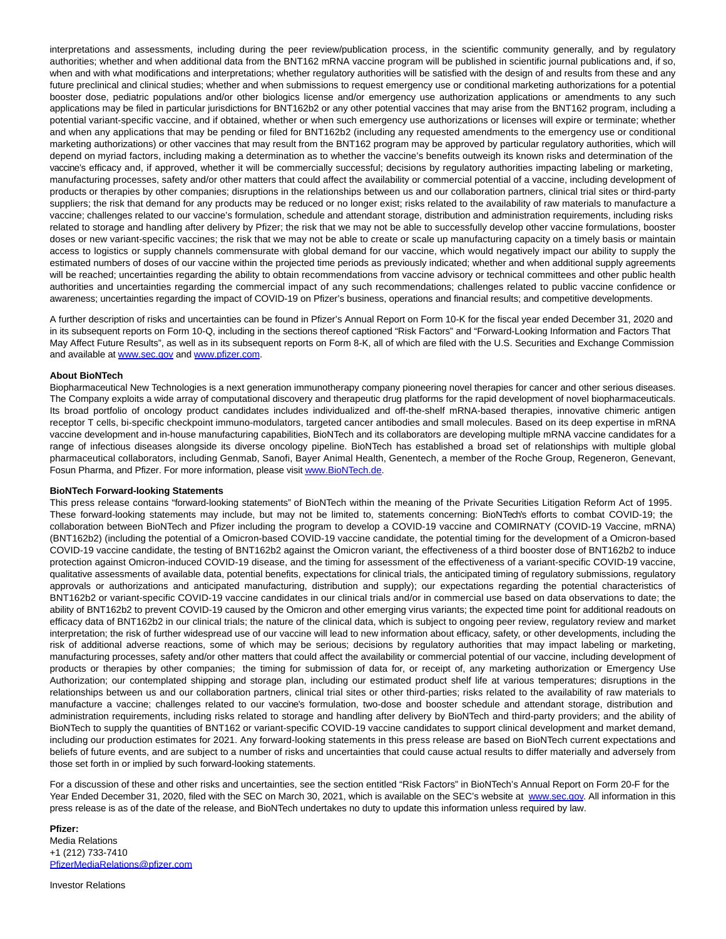interpretations and assessments, including during the peer review/publication process, in the scientific community generally, and by regulatory authorities; whether and when additional data from the BNT162 mRNA vaccine program will be published in scientific journal publications and, if so, when and with what modifications and interpretations; whether regulatory authorities will be satisfied with the design of and results from these and any future preclinical and clinical studies; whether and when submissions to request emergency use or conditional marketing authorizations for a potential booster dose, pediatric populations and/or other biologics license and/or emergency use authorization applications or amendments to any such applications may be filed in particular jurisdictions for BNT162b2 or any other potential vaccines that may arise from the BNT162 program, including a potential variant-specific vaccine, and if obtained, whether or when such emergency use authorizations or licenses will expire or terminate; whether and when any applications that may be pending or filed for BNT162b2 (including any requested amendments to the emergency use or conditional marketing authorizations) or other vaccines that may result from the BNT162 program may be approved by particular regulatory authorities, which will depend on myriad factors, including making a determination as to whether the vaccine's benefits outweigh its known risks and determination of the vaccine's efficacy and, if approved, whether it will be commercially successful; decisions by regulatory authorities impacting labeling or marketing, manufacturing processes, safety and/or other matters that could affect the availability or commercial potential of a vaccine, including development of products or therapies by other companies; disruptions in the relationships between us and our collaboration partners, clinical trial sites or third-party suppliers; the risk that demand for any products may be reduced or no longer exist; risks related to the availability of raw materials to manufacture a vaccine; challenges related to our vaccine's formulation, schedule and attendant storage, distribution and administration requirements, including risks related to storage and handling after delivery by Pfizer; the risk that we may not be able to successfully develop other vaccine formulations, booster doses or new variant-specific vaccines; the risk that we may not be able to create or scale up manufacturing capacity on a timely basis or maintain access to logistics or supply channels commensurate with global demand for our vaccine, which would negatively impact our ability to supply the estimated numbers of doses of our vaccine within the projected time periods as previously indicated; whether and when additional supply agreements will be reached; uncertainties regarding the ability to obtain recommendations from vaccine advisory or technical committees and other public health authorities and uncertainties regarding the commercial impact of any such recommendations; challenges related to public vaccine confidence or awareness; uncertainties regarding the impact of COVID-19 on Pfizer's business, operations and financial results; and competitive developments.

A further description of risks and uncertainties can be found in Pfizer's Annual Report on Form 10-K for the fiscal year ended December 31, 2020 and in its subsequent reports on Form 10-Q, including in the sections thereof captioned "Risk Factors" and "Forward-Looking Information and Factors That May Affect Future Results", as well as in its subsequent reports on Form 8-K, all of which are filed with the U.S. Securities and Exchange Commission and available at [www.sec.gov a](https://www.globenewswire.com/Tracker?data=Rn4wE6mxikZLh5wN5wh5l5p3685mpGywjxUzHR1ZLGaRfK8f-4VtAd4w_mJlVjg3ICmb6qOdckXHjsUbXMDc0Dj_SVg9P2LPHDV7AzUr5YYlFOYj0wnPOoXXZnzFMfbyiPCrkBkdd-UTZABMvgCthd2IHz8zeMpWRJsnfyrCba6Tk_MnHFR1JTjiL7kXUS9j4Yx9FLAbEv4cBaeakqJHXWZqHSJf1VMJzipxEXpqCw-6teU21OsV93htcGgrV-jDVS9v9ulRuzko2F7g5n8UO5M-ojPs2ZEsNLVcwoyuNdPEANNd2dk6oIpsJzDYb_MH-5G9b_HnNWYwaOlIJqU3kUsVUa7d2Zu1DrKks160NvTIr0iGQLpMo_rmBO2yaRGaA1pGWZgtlEpZdZ5u2lepaS-ptKRq1WFl_FGjY53XBGPt3CjLydQC7I8LqQHdy6EjUmzZtTKEmmlxgznms0z59baikcH9ICRO43ZhZQs0QEo=)nd [www.pfizer.com.](https://www.globenewswire.com/Tracker?data=Rn4wE6mxikZLh5wN5wh5l1gzX7d6F9_t42yvbTiWV40L7CHAWyvuQ_07z9Bjvc79HRl16bk2DzHbUjWHUgjO8hwpkZ6PO42i9e8luZfzOoIVfVjWBZfeVXQCUI_uA9cNvxRIRXRa3Xo6f42Ke9VXnkMLv-BdvZ8OjZBstcpSKUtJDPqAgTGCPhpVnbsQyW8MkZ-q2bxxREJ2zlGFOJHTw7zkI8VQzD1sijrRUIRTuAANGlGU-kqIsg9ujVpKGz4zUu-tDjLFAvITB1OeeOvtZalEHzYvWcBEM8u92fkacA5SkqllGQ_zREAVomVhWFXjTdZmTxIvSI86YE5JjdLOoq01PepmdIkrYJm5lc8kh0ONlb_mBX07XA2VdnA13fa2Ah0zCImZDtJ7ZNgubFTnDvYEdpFc1OoUQEhO_4mdOnpjWzGdzBkd2jRFDlAX0SXJFrPPMq5U4h-c0QBlidJsmdiyBf3lWRVK7prDXRd_mXk=)

#### **About BioNTech**

Biopharmaceutical New Technologies is a next generation immunotherapy company pioneering novel therapies for cancer and other serious diseases. The Company exploits a wide array of computational discovery and therapeutic drug platforms for the rapid development of novel biopharmaceuticals. Its broad portfolio of oncology product candidates includes individualized and off-the-shelf mRNA-based therapies, innovative chimeric antigen receptor T cells, bi-specific checkpoint immuno-modulators, targeted cancer antibodies and small molecules. Based on its deep expertise in mRNA vaccine development and in-house manufacturing capabilities, BioNTech and its collaborators are developing multiple mRNA vaccine candidates for a range of infectious diseases alongside its diverse oncology pipeline. BioNTech has established a broad set of relationships with multiple global pharmaceutical collaborators, including Genmab, Sanofi, Bayer Animal Health, Genentech, a member of the Roche Group, Regeneron, Genevant, Fosun Pharma, and Pfizer. For more information, please visi[t www.BioNTech.de.](https://www.globenewswire.com/Tracker?data=Rn4wE6mxikZLh5wN5wh5lwdaFY58CQx3Fwdx-R4q0EwLC32hq11K-1ht0qLP1u7NGJTrCqBKxG5P0Pe2nYUNL58zQjKRAq_QJNlz8TGv2mxEaAf6UuC5Y9sZxLRawWpHfhUPcDRtALBLVinat7F6C-KkCZFv0Lt1i_NC3BOJePxc-ZGw-_cClxbDXoRdF0aq9Ag3gDD6aDzZdfck9Jnrm9IAUcPQcz-hUe4Em0kzSEIvgNfMUQbQyw8lFHYEF0nLJPnujm1xv3406HUXAtQ8Y1j4U3Od53R69sjRwUu9FWgMpcHO1OK9NXUUmjvniKW9xmgn30MmguBmAj1MQBWT0Q==)

#### **BioNTech Forward-looking Statements**

This press release contains "forward-looking statements" of BioNTech within the meaning of the Private Securities Litigation Reform Act of 1995. These forward-looking statements may include, but may not be limited to, statements concerning: BioNTech's efforts to combat COVID-19; the collaboration between BioNTech and Pfizer including the program to develop a COVID-19 vaccine and COMIRNATY (COVID-19 Vaccine, mRNA) (BNT162b2) (including the potential of a Omicron-based COVID-19 vaccine candidate, the potential timing for the development of a Omicron-based COVID-19 vaccine candidate, the testing of BNT162b2 against the Omicron variant, the effectiveness of a third booster dose of BNT162b2 to induce protection against Omicron-induced COVID-19 disease, and the timing for assessment of the effectiveness of a variant-specific COVID-19 vaccine, qualitative assessments of available data, potential benefits, expectations for clinical trials, the anticipated timing of regulatory submissions, regulatory approvals or authorizations and anticipated manufacturing, distribution and supply); our expectations regarding the potential characteristics of BNT162b2 or variant-specific COVID-19 vaccine candidates in our clinical trials and/or in commercial use based on data observations to date; the ability of BNT162b2 to prevent COVID-19 caused by the Omicron and other emerging virus variants; the expected time point for additional readouts on efficacy data of BNT162b2 in our clinical trials; the nature of the clinical data, which is subject to ongoing peer review, regulatory review and market interpretation; the risk of further widespread use of our vaccine will lead to new information about efficacy, safety, or other developments, including the risk of additional adverse reactions, some of which may be serious; decisions by regulatory authorities that may impact labeling or marketing, manufacturing processes, safety and/or other matters that could affect the availability or commercial potential of our vaccine, including development of products or therapies by other companies; the timing for submission of data for, or receipt of, any marketing authorization or Emergency Use Authorization; our contemplated shipping and storage plan, including our estimated product shelf life at various temperatures; disruptions in the relationships between us and our collaboration partners, clinical trial sites or other third-parties; risks related to the availability of raw materials to manufacture a vaccine; challenges related to our vaccine's formulation, two-dose and booster schedule and attendant storage, distribution and administration requirements, including risks related to storage and handling after delivery by BioNTech and third-party providers; and the ability of BioNTech to supply the quantities of BNT162 or variant-specific COVID-19 vaccine candidates to support clinical development and market demand, including our production estimates for 2021. Any forward-looking statements in this press release are based on BioNTech current expectations and beliefs of future events, and are subject to a number of risks and uncertainties that could cause actual results to differ materially and adversely from those set forth in or implied by such forward-looking statements.

For a discussion of these and other risks and uncertainties, see the section entitled "Risk Factors" in BioNTech's Annual Report on Form 20-F for the Year Ended December 31, 2020, filed with the SEC on March 30, 2021, which is available on the SEC's website at [www.sec.gov.](https://www.globenewswire.com/Tracker?data=Rn4wE6mxikZLh5wN5wh5l5vquHPgltiUhvNglWFWDtpTwwtVPTQ2GfX_CDRewt8e1K-lL0k2RCmBFcKhDfAalKqMwWetipPNK4aCPgxJxyEt_12IHvaRu-WURMwtNv3QAd6-niY96cS2TLoqNH4h8vaa35XtYOKPlgfy3AJFvGKmHMc4FUMips6O_NjFuMgZvooVJQ_lJL0bFMLEx2OYiyWV4SGSk5a7hGE_cmiUQyvcyYUV0sz6ECb_Su3OIoD_bJaoB8qKF-TXgabHvt1vSMgWfXPHwZFcPRciYFtfb-qP6AUvXNdvGuKZ95OdmWhq) All information in this press release is as of the date of the release, and BioNTech undertakes no duty to update this information unless required by law.

**Pfizer:** Media Relations +1 (212) 733-7410 [PfizerMediaRelations@pfizer.com](https://www.globenewswire.com/Tracker?data=Net7iL_iPPSbPydtsCh6gQunoGjmxtTZH3TIUG4sJWgi4msS2ro_pmQrzO5lPnbkEMuN0-bSJocfxofK_g_xpXrJQ01DzAZSx0AyvYWOTxgmEXX84LqDZA3jlxP1TNVp)

Investor Relations